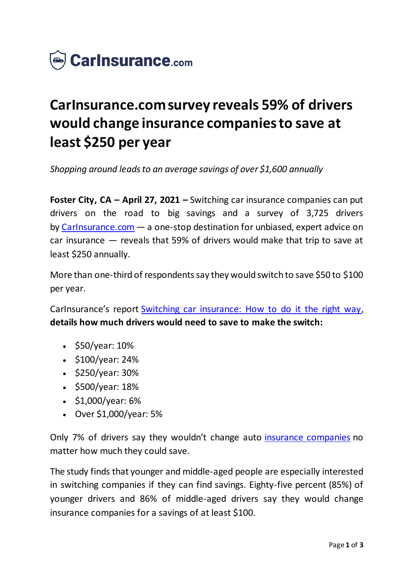

## **CarInsurance.com survey reveals 59% of drivers would change insurance companies to save at least \$250 per year**

*Shopping around leads to an average savings of over \$1,600 annually*

**Foster City, CA – April 27, 2021 –** Switching car insurance companies can put drivers on the road to big savings and a survey of 3,725 drivers by [CarInsurance.com](https://www.carinsurance.com/) — a one-stop destination for unbiased, expert advice on car insurance — reveals that 59% of drivers would make that trip to save at least \$250 annually.

More than one-third of respondents say they would switch to save \$50 to \$100 per year.

CarInsurance's report [Switching car insurance: How to do it the right way,](https://www.carinsurance.com/Articles/how-to-switch-car-insurance.aspx) **details how much drivers would need to save to make the switch:**

- $\cdot$  \$50/year: 10%
- \$100/year: 24%
- $\bullet$  \$250/year: 30%
- \$500/year: 18%
- $\cdot$  \$1,000/year: 6%
- Over \$1,000/year: 5%

Only 7% of drivers say they wouldn't change auto [insurance companies](https://www.carinsurance.com/best-car-insurance-companies) no matter how much they could save.

The study finds that younger and middle-aged people are especially interested in switching companies if they can find savings. Eighty-five percent (85%) of younger drivers and 86% of middle-aged drivers say they would change insurance companies for a savings of at least \$100.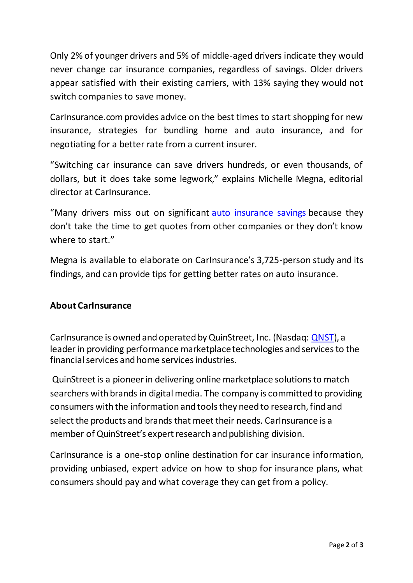Only 2% of younger drivers and 5% of middle-aged drivers indicate they would never change car insurance companies, regardless of savings. Older drivers appear satisfied with their existing carriers, with 13% saying they would not switch companies to save money.

CarInsurance.com provides advice on the best times to start shopping for new insurance, strategies for bundling home and auto insurance, and for negotiating for a better rate from a current insurer.

"Switching car insurance can save drivers hundreds, or even thousands, of dollars, but it does take some legwork," explains Michelle Megna, editorial director at CarInsurance.

"Many drivers miss out on significant [auto insurance savings](https://www.carinsurance.com/cheapest-car-insurance.aspx) because they don't take the time to get quotes from other companies or they don't know where to start."

Megna is available to elaborate on CarInsurance's 3,725-person study and its findings, and can provide tips for getting better rates on auto insurance.

## **About CarInsurance**

CarInsurance is owned and operated by QuinStreet, Inc. (Nasdaq: [QNST](https://www.nasdaq.com/market-activity/stocks/qnst)), a leader in providing performance marketplace technologies and services to the financial services and home services industries.

QuinStreet is a pioneer in delivering online marketplace solutions to match searchers with brands in digital media. The company is committed to providing consumers with the information and tools they need to research, find and select the products and brands that meet their needs. CarInsurance is a member of QuinStreet's expert research and publishing division.

CarInsurance is a one-stop online destination for car insurance information, providing unbiased, expert advice on how to shop for insurance plans, what consumers should pay and what coverage they can get from a policy.